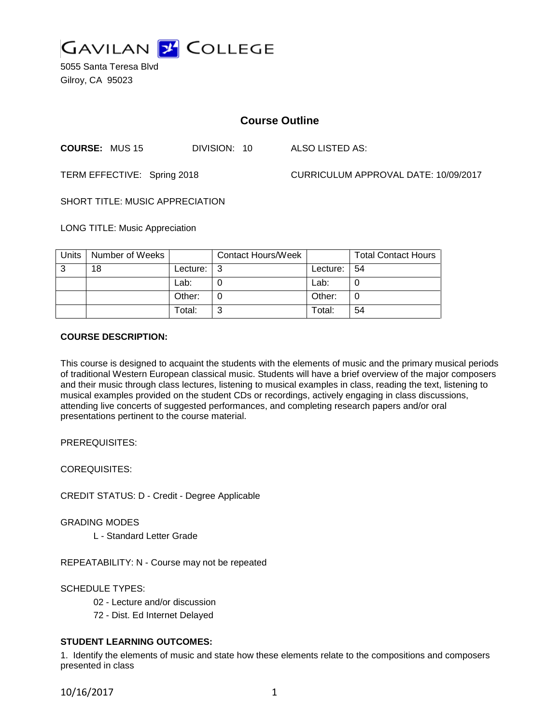

5055 Santa Teresa Blvd Gilroy, CA 95023

# **Course Outline**

**COURSE:** MUS 15 DIVISION: 10 ALSO LISTED AS:

TERM EFFECTIVE: Spring 2018 CURRICULUM APPROVAL DATE: 10/09/2017

SHORT TITLE: MUSIC APPRECIATION

LONG TITLE: Music Appreciation

| Units | Number of Weeks |          | <b>Contact Hours/Week</b> |          | <b>Total Contact Hours</b> |
|-------|-----------------|----------|---------------------------|----------|----------------------------|
| 3     | 18              | Lecture: |                           | Lecture: | 54                         |
|       |                 | Lab:     |                           | Lab:     |                            |
|       |                 | Other:   |                           | Other:   | 0                          |
|       |                 | Total:   | ົ                         | Total:   | 54                         |

### **COURSE DESCRIPTION:**

This course is designed to acquaint the students with the elements of music and the primary musical periods of traditional Western European classical music. Students will have a brief overview of the major composers and their music through class lectures, listening to musical examples in class, reading the text, listening to musical examples provided on the student CDs or recordings, actively engaging in class discussions, attending live concerts of suggested performances, and completing research papers and/or oral presentations pertinent to the course material.

PREREQUISITES:

COREQUISITES:

CREDIT STATUS: D - Credit - Degree Applicable

GRADING MODES

L - Standard Letter Grade

REPEATABILITY: N - Course may not be repeated

SCHEDULE TYPES:

02 - Lecture and/or discussion

72 - Dist. Ed Internet Delayed

## **STUDENT LEARNING OUTCOMES:**

1. Identify the elements of music and state how these elements relate to the compositions and composers presented in class

10/16/2017 1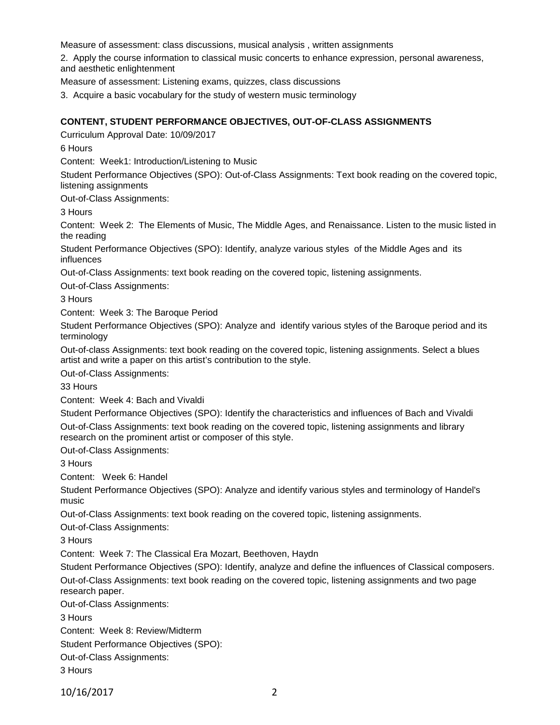Measure of assessment: class discussions, musical analysis , written assignments

2. Apply the course information to classical music concerts to enhance expression, personal awareness, and aesthetic enlightenment

Measure of assessment: Listening exams, quizzes, class discussions

3. Acquire a basic vocabulary for the study of western music terminology

## **CONTENT, STUDENT PERFORMANCE OBJECTIVES, OUT-OF-CLASS ASSIGNMENTS**

Curriculum Approval Date: 10/09/2017

6 Hours

Content: Week1: Introduction/Listening to Music

Student Performance Objectives (SPO): Out-of-Class Assignments: Text book reading on the covered topic, listening assignments

Out-of-Class Assignments:

3 Hours

Content: Week 2: The Elements of Music, The Middle Ages, and Renaissance. Listen to the music listed in the reading

Student Performance Objectives (SPO): Identify, analyze various styles of the Middle Ages and its influences

Out-of-Class Assignments: text book reading on the covered topic, listening assignments.

Out-of-Class Assignments:

3 Hours

Content: Week 3: The Baroque Period

Student Performance Objectives (SPO): Analyze and identify various styles of the Baroque period and its terminology

Out-of-class Assignments: text book reading on the covered topic, listening assignments. Select a blues artist and write a paper on this artist's contribution to the style.

Out-of-Class Assignments:

33 Hours

Content: Week 4: Bach and Vivaldi

Student Performance Objectives (SPO): Identify the characteristics and influences of Bach and Vivaldi Out-of-Class Assignments: text book reading on the covered topic, listening assignments and library research on the prominent artist or composer of this style.

Out-of-Class Assignments:

3 Hours

Content: Week 6: Handel

Student Performance Objectives (SPO): Analyze and identify various styles and terminology of Handel's music

Out-of-Class Assignments: text book reading on the covered topic, listening assignments.

Out-of-Class Assignments:

3 Hours

Content: Week 7: The Classical Era Mozart, Beethoven, Haydn

Student Performance Objectives (SPO): Identify, analyze and define the influences of Classical composers. Out-of-Class Assignments: text book reading on the covered topic, listening assignments and two page research paper.

Out-of-Class Assignments:

3 Hours

Content: Week 8: Review/Midterm

Student Performance Objectives (SPO):

Out-of-Class Assignments:

3 Hours

10/16/2017 2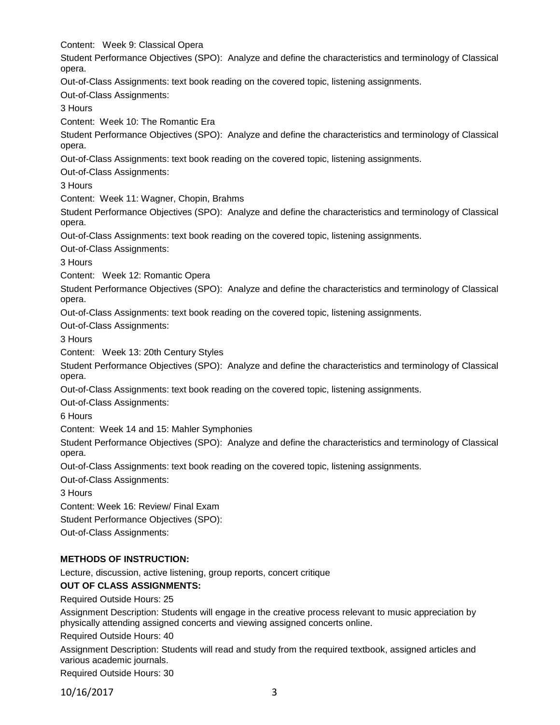Content: Week 9: Classical Opera Student Performance Objectives (SPO): Analyze and define the characteristics and terminology of Classical opera. Out-of-Class Assignments: text book reading on the covered topic, listening assignments. Out-of-Class Assignments: 3 Hours Content: Week 10: The Romantic Era Student Performance Objectives (SPO): Analyze and define the characteristics and terminology of Classical opera. Out-of-Class Assignments: text book reading on the covered topic, listening assignments. Out-of-Class Assignments: 3 Hours Content: Week 11: Wagner, Chopin, Brahms Student Performance Objectives (SPO): Analyze and define the characteristics and terminology of Classical opera. Out-of-Class Assignments: text book reading on the covered topic, listening assignments. Out-of-Class Assignments: 3 Hours Content: Week 12: Romantic Opera Student Performance Objectives (SPO): Analyze and define the characteristics and terminology of Classical opera. Out-of-Class Assignments: text book reading on the covered topic, listening assignments. Out-of-Class Assignments: 3 Hours Content: Week 13: 20th Century Styles Student Performance Objectives (SPO): Analyze and define the characteristics and terminology of Classical opera. Out-of-Class Assignments: text book reading on the covered topic, listening assignments. Out-of-Class Assignments: 6 Hours Content: Week 14 and 15: Mahler Symphonies Student Performance Objectives (SPO): Analyze and define the characteristics and terminology of Classical opera. Out-of-Class Assignments: text book reading on the covered topic, listening assignments. Out-of-Class Assignments: 3 Hours Content: Week 16: Review/ Final Exam Student Performance Objectives (SPO): Out-of-Class Assignments:

# **METHODS OF INSTRUCTION:**

Lecture, discussion, active listening, group reports, concert critique

## **OUT OF CLASS ASSIGNMENTS:**

Required Outside Hours: 25

Assignment Description: Students will engage in the creative process relevant to music appreciation by physically attending assigned concerts and viewing assigned concerts online.

Required Outside Hours: 40

Assignment Description: Students will read and study from the required textbook, assigned articles and various academic journals.

Required Outside Hours: 30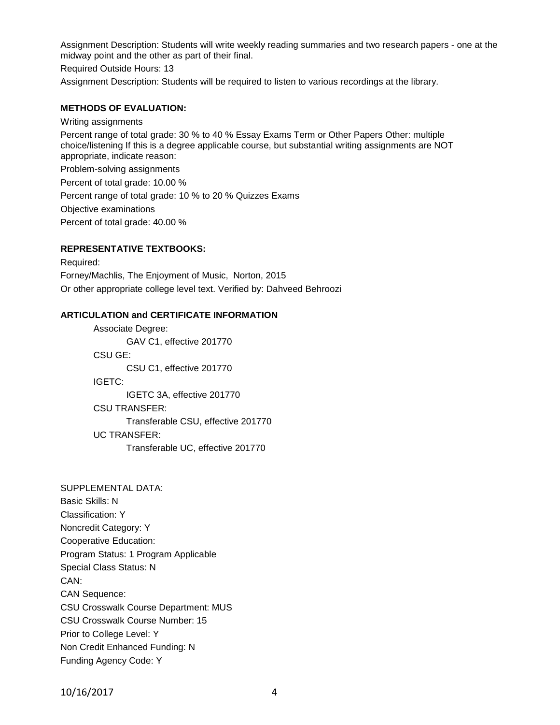Assignment Description: Students will write weekly reading summaries and two research papers - one at the midway point and the other as part of their final.

Required Outside Hours: 13

Assignment Description: Students will be required to listen to various recordings at the library.

#### **METHODS OF EVALUATION:**

Writing assignments Percent range of total grade: 30 % to 40 % Essay Exams Term or Other Papers Other: multiple choice/listening If this is a degree applicable course, but substantial writing assignments are NOT appropriate, indicate reason: Problem-solving assignments Percent of total grade: 10.00 % Percent range of total grade: 10 % to 20 % Quizzes Exams Objective examinations

Percent of total grade: 40.00 %

### **REPRESENTATIVE TEXTBOOKS:**

Required: Forney/Machlis, The Enjoyment of Music, Norton, 2015 Or other appropriate college level text. Verified by: Dahveed Behroozi

#### **ARTICULATION and CERTIFICATE INFORMATION**

Associate Degree: GAV C1, effective 201770 CSU GE: CSU C1, effective 201770 IGETC: IGETC 3A, effective 201770 CSU TRANSFER: Transferable CSU, effective 201770 UC TRANSFER: Transferable UC, effective 201770

SUPPLEMENTAL DATA: Basic Skills: N Classification: Y Noncredit Category: Y Cooperative Education: Program Status: 1 Program Applicable Special Class Status: N CAN: CAN Sequence: CSU Crosswalk Course Department: MUS CSU Crosswalk Course Number: 15 Prior to College Level: Y Non Credit Enhanced Funding: N Funding Agency Code: Y

10/16/2017 4